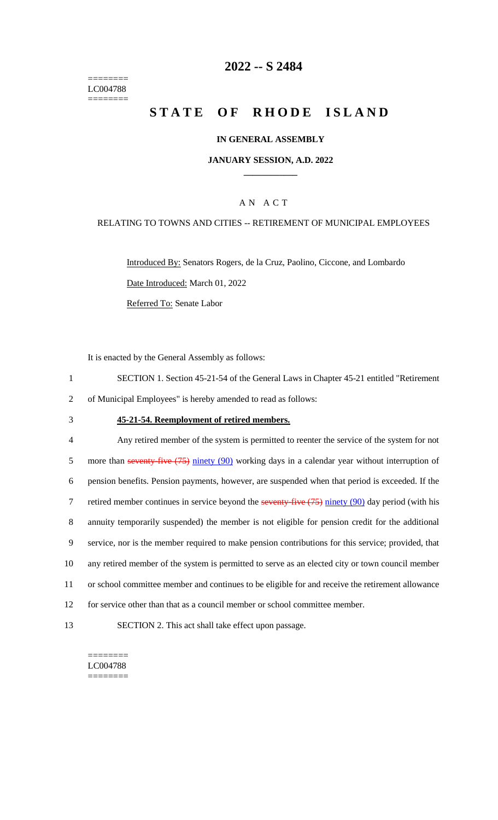======== LC004788 ========

## **2022 -- S 2484**

# **STATE OF RHODE ISLAND**

### **IN GENERAL ASSEMBLY**

### **JANUARY SESSION, A.D. 2022 \_\_\_\_\_\_\_\_\_\_\_\_**

### A N A C T

### RELATING TO TOWNS AND CITIES -- RETIREMENT OF MUNICIPAL EMPLOYEES

Introduced By: Senators Rogers, de la Cruz, Paolino, Ciccone, and Lombardo Date Introduced: March 01, 2022 Referred To: Senate Labor

It is enacted by the General Assembly as follows:

- 1 SECTION 1. Section 45-21-54 of the General Laws in Chapter 45-21 entitled "Retirement 2 of Municipal Employees" is hereby amended to read as follows:
- 

#### 3 **45-21-54. Reemployment of retired members.**

 Any retired member of the system is permitted to reenter the service of the system for not 5 more than seventy-five (75) ninety (90) working days in a calendar year without interruption of pension benefits. Pension payments, however, are suspended when that period is exceeded. If the 7 retired member continues in service beyond the seventy-five (75) ninety (90) day period (with his annuity temporarily suspended) the member is not eligible for pension credit for the additional service, nor is the member required to make pension contributions for this service; provided, that any retired member of the system is permitted to serve as an elected city or town council member or school committee member and continues to be eligible for and receive the retirement allowance for service other than that as a council member or school committee member.

13 SECTION 2. This act shall take effect upon passage.

======== LC004788 ========